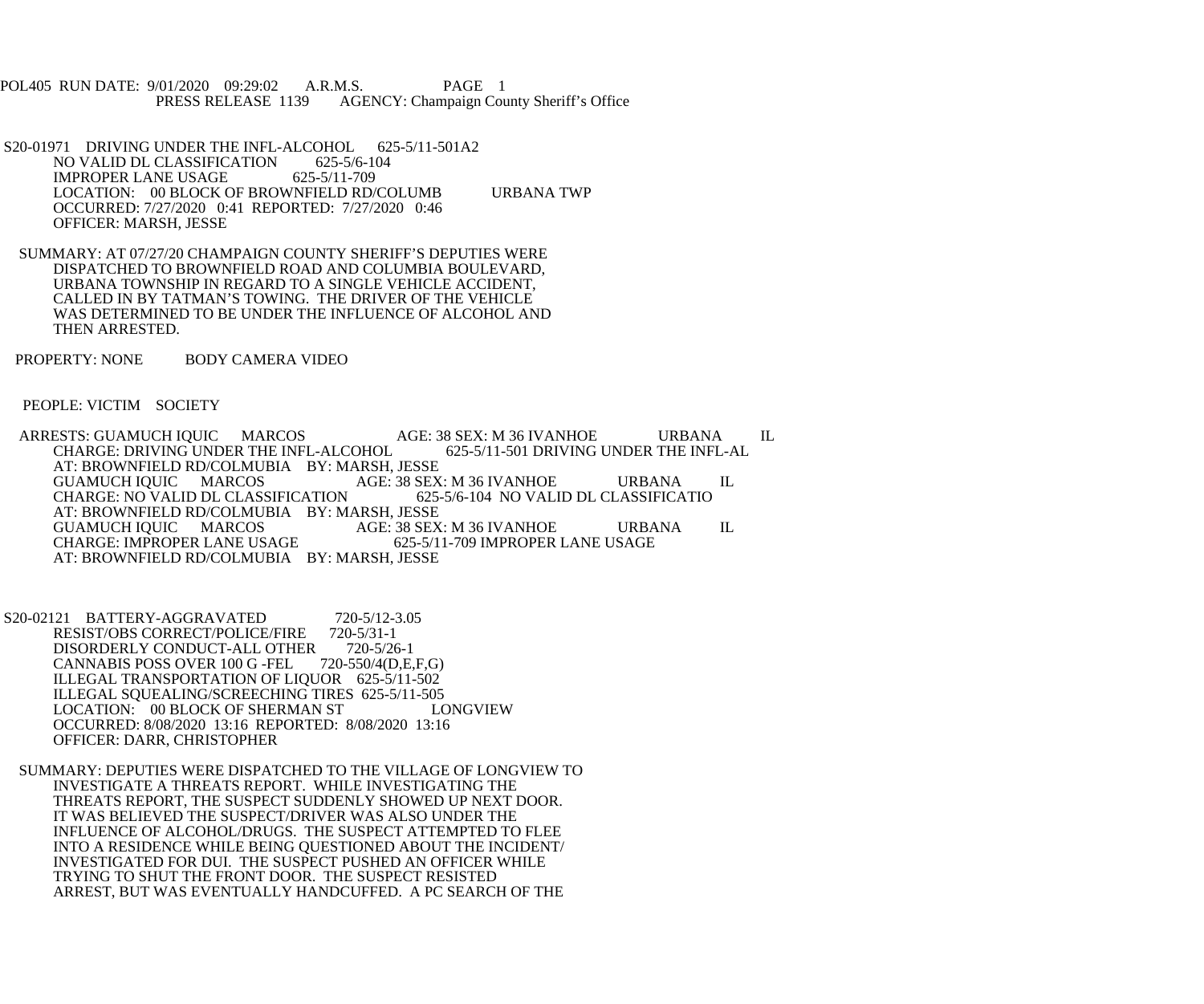POL405 RUN DATE: 9/01/2020 09:29:02 A.R.M.S. PAGE 1<br>PRESS RELEASE 1139 AGENCY: Champaign Cou AGENCY: Champaign County Sheriff's Office

- S20-01971 DRIVING UNDER THE INFL-ALCOHOL 625-5/11-501A2<br>NO VALID DL CLASSIFICATION 625-5/6-104 NO VALID DL CLASSIFICATION IMPROPER LANE USAGE 625-5/11-709 LOCATION: 00 BLOCK OF BROWNFIELD RD/COLUMB URBANA TWP OCCURRED: 7/27/2020 0:41 REPORTED: 7/27/2020 0:46 OFFICER: MARSH, JESSE
- SUMMARY: AT 07/27/20 CHAMPAIGN COUNTY SHERIFF'S DEPUTIES WERE DISPATCHED TO BROWNFIELD ROAD AND COLUMBIA BOULEVARD, URBANA TOWNSHIP IN REGARD TO A SINGLE VEHICLE ACCIDENT, CALLED IN BY TATMAN'S TOWING. THE DRIVER OF THE VEHICLE WAS DETERMINED TO BE UNDER THE INFLUENCE OF ALCOHOL AND THEN ARRESTED.
- PROPERTY: NONE BODY CAMERA VIDEO

PEOPLE: VICTIM SOCIETY

ARRESTS: GUAMUCH IQUIC MARCOS AGE: 38 SEX: M 36 IVANHOE URBANA IL CHARGE: DRIVING UNDER THE INFL-ALCOHOL 625-5/11-501 DRIVING UNDER THE INFL-AL CHARGE: DRIVING UNDER THE INFL-ALCOHOL AT: BROWNFIELD RD/COLMUBIA BY: MARSH, JESSE<br>GUAMUCH IQUIC MARCOS AGE: 38 SEX: M 36 IVANHOE GUAMUCH IQUIC MARCOS AGE: 38 SEX: M 36 IVANHOE URBANA IL<br>CHARGE: NO VALID DL CLASSIFICATION 625-5/6-104 NO VALID DL CLASSIFICATIO CHARGE: NO VALID DL CLASSIFICATION AT: BROWNFIELD RD/COLMUBIA BY: MARSH, JESSE<br>GUAMUCH IQUIC MARCOS AGE: 38 SEX GUAMUCH IQUIC MARCOS AGE: 38 SEX: M 36 IVANHOE URBANA IL CHARGE: IMPROPER LANE USAGE 625-5/11-709 IMPROPER LANE USAGE AT: BROWNFIELD RD/COLMUBIA BY: MARSH, JESSE

S20-02121 BATTERY-AGGRAVATED 720-5/12-3.05<br>RESIST/OBS CORRECT/POLICE/FIRE 720-5/31-1 RESIST/OBS CORRECT/POLICE/FIRE 720-5/31-1<br>DISORDERLY CONDUCT-ALL OTHER 720-5/26-1 DISORDERLY CONDUCT-ALL OTHER 720-5/26-1<br>CANNABIS POSS OVER 100 G -FEL 720-550/4(D,E,F,G) CANNABIS POSS OVER 100 G -FEL ILLEGAL TRANSPORTATION OF LIQUOR 625-5/11-502 ILLEGAL SQUEALING/SCREECHING TIRES 625-5/11-505<br>LOCATION: 00 BLOCK OF SHERMAN ST LONGVIEW LOCATION: 00 BLOCK OF SHERMAN ST OCCURRED: 8/08/2020 13:16 REPORTED: 8/08/2020 13:16 OFFICER: DARR, CHRISTOPHER

 SUMMARY: DEPUTIES WERE DISPATCHED TO THE VILLAGE OF LONGVIEW TO INVESTIGATE A THREATS REPORT. WHILE INVESTIGATING THE THREATS REPORT, THE SUSPECT SUDDENLY SHOWED UP NEXT DOOR. IT WAS BELIEVED THE SUSPECT/DRIVER WAS ALSO UNDER THE INFLUENCE OF ALCOHOL/DRUGS. THE SUSPECT ATTEMPTED TO FLEE INTO A RESIDENCE WHILE BEING QUESTIONED ABOUT THE INCIDENT/ INVESTIGATED FOR DUI. THE SUSPECT PUSHED AN OFFICER WHILE TRYING TO SHUT THE FRONT DOOR. THE SUSPECT RESISTED ARREST, BUT WAS EVENTUALLY HANDCUFFED. A PC SEARCH OF THE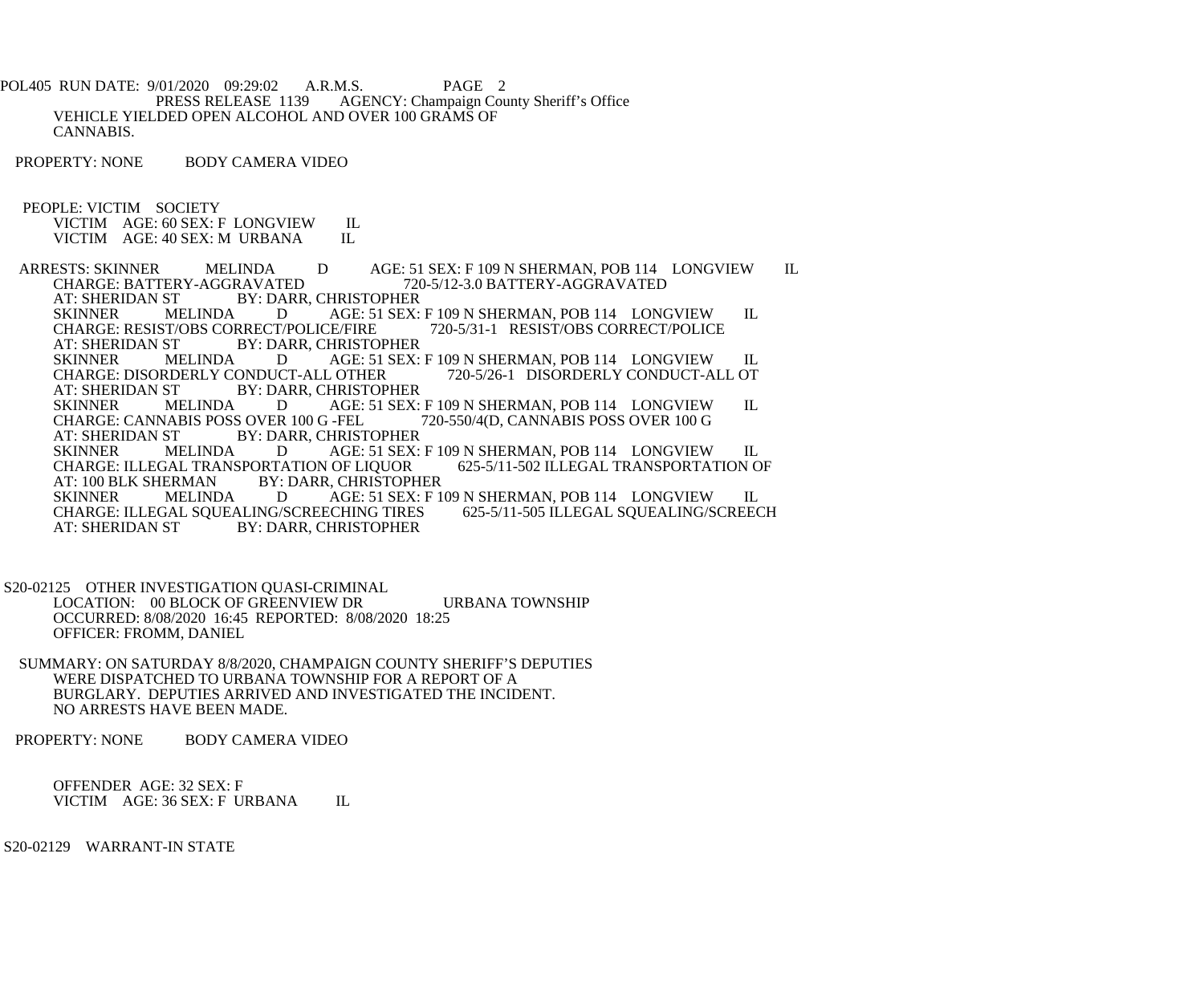POL405 RUN DATE: 9/01/2020 09:29:02 A.R.M.S. PAGE 2<br>PRESS RELEASE 1139 AGENCY: Champaign Cou AGENCY: Champaign County Sheriff's Office VEHICLE YIELDED OPEN ALCOHOL AND OVER 100 GRAMS OF CANNABIS.

PROPERTY: NONE BODY CAMERA VIDEO

PEOPLE: VICTIM SOCIETY

VICTIM AGE: 60 SEX: F LONGVIEW IL<br>VICTIM AGE: 40 SEX: M URBANA IL VICTIM AGE: 40 SEX: M URBANA ARRESTS: SKINNER MELINDA D AGE: 51 SEX: F 109 N SHERMAN, POB 114 LONGVIEW IL<br>CHARGE: BATTERY-AGGRAVATED 720-5/12-3.0 BATTERY-AGGRAVATED CHARGE: BATTERY-AGGRAVATED 720-5/12-3.0 BATTERY-AGGRAVATED<br>AT: SHERIDAN ST BY: DARR, CHRISTOPHER AT: SHERIDAN ST BY: DARR, CHRISTOPHER<br>SKINNER MELINDA D AGE: 51 SEX: D AGE: 51 SEX: F 109 N SHERMAN, POB 114 LONGVIEW IL<br>T/POLICE/FIRE 720-5/31-1 RESIST/OBS CORRECT/POLICE CHARGE: RESIST/OBS CORRECT/POLICE/FIRE<br>AT: SHERIDAN ST BY: DARR, CHRISTO AT: SHERIDAN ST BY: DARR, CHRISTOPHER<br>SKINNER MELINDA D AGE: 51 SEX: MELINDA D AGE: 51 SEX: F 109 N SHERMAN, POB 114 LONGVIEW IL RDERLY CONDUCT-ALL OTHER 720-5/26-1 DISORDERLY CONDUCT-ALL OT CHARGE: DISORDERLY CONDUCT-ALL OTHER<br>AT: SHERIDAN ST BY: DARR, CHRISTOP AT: SHERIDAN ST BY: DARR, CHRISTOPHER<br>SKINNER MELINDA D AGE: 51 SEX: MELINDA D AGE: 51 SEX: F 109 N SHERMAN, POB 114 LONGVIEW IL<br>VABIS POSS OVER 100 G -FEL 720-550/4(D. CANNABIS POSS OVER 100 G CHARGE: CANNABIS POSS OVER 100 G -FEL<br>AT: SHERIDAN ST BY: DARR. CHRIST ST BY: DARR, CHRISTOPHER<br>MELINDA D AGE: 51 SEX: SKINNER MELINDA D AGE: 51 SEX: F 109 N SHERMAN, POB 114 LONGVIEW IL CHARGE: ILLEGAL TRANSPORTATION OF LIQUOR 625-5/11-502 ILLEGAL TRANSPORTATION OF CHARGE: ILLEGAL TRANSPORTATION OF LIQUOR<br>AT: 100 BLK SHERMAN BY: DARR, CHRISTOPI AT: 100 BLK SHERMAN BY: DARR, CHRISTOPHER<br>SKINNER MELINDA D AGE: 51 SEX: F 1 AGE: 51 SEX: F 109 N SHERMAN, POB 114 LONGVIEW IL CHARGE: ILLEGAL SQUEALING/SCREECHING TIRES 625-5/11-505 ILLEGAL SQUEALING/SCREECH<br>AT: SHERIDAN ST BY: DARR, CHRISTOPHER BY: DARR, CHRISTOPHER

 S20-02125 OTHER INVESTIGATION QUASI-CRIMINAL LOCATION: 00 BLOCK OF GREENVIEW DR URBANA TOWNSHIP OCCURRED: 8/08/2020 16:45 REPORTED: 8/08/2020 18:25 OFFICER: FROMM, DANIEL

- SUMMARY: ON SATURDAY 8/8/2020, CHAMPAIGN COUNTY SHERIFF'S DEPUTIES WERE DISPATCHED TO URBANA TOWNSHIP FOR A REPORT OF A BURGLARY. DEPUTIES ARRIVED AND INVESTIGATED THE INCIDENT. NO ARRESTS HAVE BEEN MADE.
- PROPERTY: NONE BODY CAMERA VIDEO

 OFFENDER AGE: 32 SEX: F VICTIM AGE: 36 SEX: F URBANA IL

S20-02129 WARRANT-IN STATE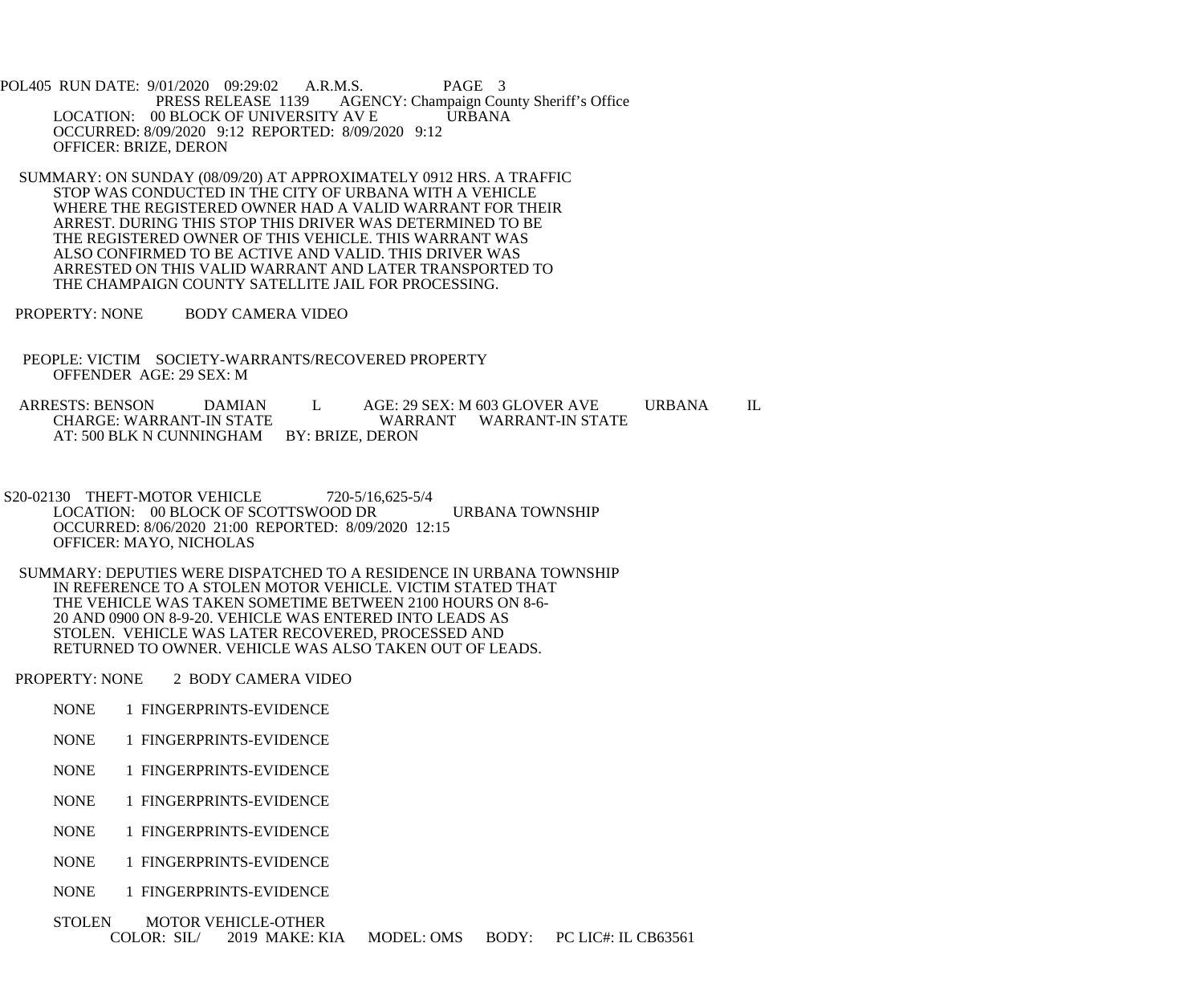POL405 RUN DATE: 9/01/2020 09:29:02 A.R.M.S. PAGE 3<br>PRESS RELEASE 1139 AGENCY: Champaign Cou AGENCY: Champaign County Sheriff's Office LOCATION: 00 BLOCK OF UNIVERSITY AV E URBANA OCCURRED: 8/09/2020 9:12 REPORTED: 8/09/2020 9:12 OFFICER: BRIZE, DERON

 SUMMARY: ON SUNDAY (08/09/20) AT APPROXIMATELY 0912 HRS. A TRAFFIC STOP WAS CONDUCTED IN THE CITY OF URBANA WITH A VEHICLE WHERE THE REGISTERED OWNER HAD A VALID WARRANT FOR THEIR ARREST. DURING THIS STOP THIS DRIVER WAS DETERMINED TO BE THE REGISTERED OWNER OF THIS VEHICLE. THIS WARRANT WAS ALSO CONFIRMED TO BE ACTIVE AND VALID. THIS DRIVER WAS ARRESTED ON THIS VALID WARRANT AND LATER TRANSPORTED TO THE CHAMPAIGN COUNTY SATELLITE JAIL FOR PROCESSING.

PROPERTY: NONE BODY CAMERA VIDEO

 PEOPLE: VICTIM SOCIETY-WARRANTS/RECOVERED PROPERTY OFFENDER AGE: 29 SEX: M

ARRESTS: BENSON DAMIAN L AGE: 29 SEX: M 603 GLOVER AVE URBANA IL CHARGE: WARRANT-IN STATE WARRANT WARRANT-IN STATE AT: 500 BLK N CUNNINGHAM BY: BRIZE, DERON

 S20-02130 THEFT-MOTOR VEHICLE 720-5/16,625-5/4 LOCATION: 00 BLOCK OF SCOTTSWOOD DR URBANA TOWNSHIP OCCURRED: 8/06/2020 21:00 REPORTED: 8/09/2020 12:15 OFFICER: MAYO, NICHOLAS

 SUMMARY: DEPUTIES WERE DISPATCHED TO A RESIDENCE IN URBANA TOWNSHIP IN REFERENCE TO A STOLEN MOTOR VEHICLE. VICTIM STATED THAT THE VEHICLE WAS TAKEN SOMETIME BETWEEN 2100 HOURS ON 8-6- 20 AND 0900 ON 8-9-20. VEHICLE WAS ENTERED INTO LEADS AS STOLEN. VEHICLE WAS LATER RECOVERED, PROCESSED AND RETURNED TO OWNER. VEHICLE WAS ALSO TAKEN OUT OF LEADS.

PROPERTY: NONE 2 BODY CAMERA VIDEO

- NONE 1 FINGERPRINTS-EVIDENCE
- NONE 1 FINGERPRINTS-EVIDENCE
- NONE 1 FINGERPRINTS-EVIDENCE
- NONE 1 FINGERPRINTS-EVIDENCE
- NONE 1 FINGERPRINTS-EVIDENCE
- NONE 1 FINGERPRINTS-EVIDENCE
- NONE 1 FINGERPRINTS-EVIDENCE

 STOLEN MOTOR VEHICLE-OTHER COLOR: SIL/ 2019 MAKE: KIA MODEL: OMS BODY: PC LIC#: IL CB63561